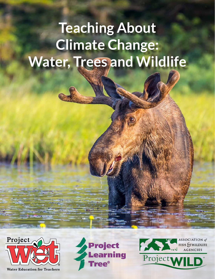## **Teaching About Climate Change: Water, Trees and Wildlife**



**Water Education for Teachers** 



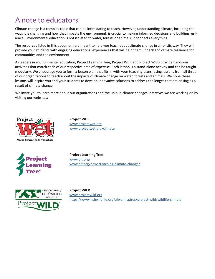## A note to educators

Climate change is a complex topic that can be intimidating to teach. However, understanding climate, including the ways it is changing and how that impacts the environment, is crucial to making informed decisions and building resilience. Environmental education is not isolated to water, forests or animals. It connects everything.

The resources listed in this document are meant to help you teach about climate change in a holistic way. They will provide your students with engaging educational experiences that will help them understand climate resilience for communities and the environment.

As leaders in environmental education, Project Learning Tree, Project WET, and Project WILD provide hands-on activities that match each of our respective area of expertise. Each lesson is a stand-alone activity and can be taught modularly. We encourage you to form a lesson plan that fits in with your teaching plans, using lessons from all three of our organizations to teach about the impacts of climate change on water, forests and animals. We hope these lessons will inspire you and your students to develop innovative solutions to address challenges that are arising as a result of climate change.

We invite you to learn more about our organizations and the unique climate changes initiatives we are working on by visiting our websites:



**Project WET** [www.projectwet.org](http://www.projectwet.org) [www.projectwet.org/climate](http://www.projectwet.org/climate)



**Project Learning Tree** [www.plt.org/](http://www.plt.org/) [www.plt.org/news/teaching-climate-change/](http://www.plt.org/news/teaching-climate-change/)



**Project WILD** [www.p](http://www.projectwild.org)rojectwild.org <https://www.fishwildlife.org/afwa-inspires/project-wild/wildlife-climate>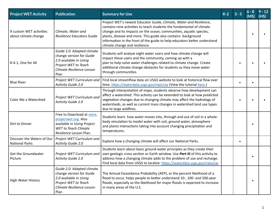| <b>Project WET Activity</b>                         | <b>Publication</b>                                                                                                                            | <b>Summary for Use</b>                                                                                                                                                                                                                                                                                                                                                                             | $K-2$ | (MS) | $9 - 12$<br>(HS) |
|-----------------------------------------------------|-----------------------------------------------------------------------------------------------------------------------------------------------|----------------------------------------------------------------------------------------------------------------------------------------------------------------------------------------------------------------------------------------------------------------------------------------------------------------------------------------------------------------------------------------------------|-------|------|------------------|
| 9 custom WET activities<br>about climate change     | Climate, Water and<br>Resilience Educators Guide                                                                                              | Project WET's newest Educator Guide, Climate, Water and Resilience,<br>contains nine activities to teach students the fundamental of climate<br>change and its impacts on the ocean, communities, aquatic species,<br>plants, disease and more. This guide also contains background<br>information in the front of the guide to help educators better understand<br>climate change and resilience. |       |      |                  |
| 8-4-1, One for All                                  | Guide 2.0. Adapted climate<br>change version for Guide<br>2.0 available in Using<br>Project WET to Teach<br>Climate Resilience Lesson<br>Plan | Students will analyze eight water users and how climate change will<br>impact these users and the community, coming up with a<br>plan to help solve water challenges related to climate change. Create<br>additional climate change obstacles for students as they move water<br>through communities.                                                                                              |       |      |                  |
| <b>Blue River</b>                                   | Project WET Curriculum and<br>Activity Guide 2.0                                                                                              | Find local streamflow data on USGS website to look at historical flow over<br>time. https://waterdata.usgs.gov/nwis/sw (View the tutorial here.)                                                                                                                                                                                                                                                   |       |      |                  |
| Color Me a Watershed                                | Project WET Curriculum and<br>Activity Guide 2.0                                                                                              | Through interpretation of maps, students observe how development can<br>affect a watershed. This activity can be extended to look at how predicted<br>vegetation changes due to changing climate may affect the hydrology of<br>watersheds, as well as current mass changes in watershed land use types<br>due to large wildfires.                                                                 |       |      |                  |
| Dirt to Dinner                                      | Free to Download at store.<br>projectwet.org. Also<br>available in Using Project<br><b>WET</b> to Teach Climate<br>Resilience Lesson Plan.    | Students learn how water moves into, through and out of soil in a whole-<br>body simulation to model water with soil, ground water, atmosphere<br>and plants interactions taking into account changing precipitation and<br>temperatures.                                                                                                                                                          |       |      |                  |
| Discover the Waters of Our<br><b>National Parks</b> | Project WET Curriculum and<br>Activity Guide 2.0                                                                                              | Explore how a changing climate will affect our National Parks.                                                                                                                                                                                                                                                                                                                                     |       |      |                  |
| Get the Groundwater<br>Picture                      | Project WET Curriculum and<br>Activity Guide 2.0                                                                                              | Students learn about basic ground water principles as they create their<br>own geologic cross section or Earth window. Use Part III of this activity to<br>address how a changing climate adds to the problem of use and recharge.<br>Find local data from USGS to localize: https://waterdata.usgs.gov/nwis/sw                                                                                    |       |      |                  |
| High Water History                                  | Guide 2.0. Adapted climate<br>change version for Guide<br>2.0 available in Using<br>Project WET to Teach<br>Climate Resilience Lesson<br>Plan | The Annual Exceedance Probability (AEP), or the percent likelihood of a<br>flood to occur, helps people to better understand 10-, 100- and 500-year<br>floods, especially as the likelihood for major floods is expected to increase<br>in many areas of the U.S.                                                                                                                                  |       |      |                  |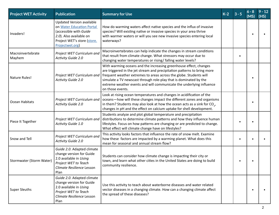| <b>Project WET Activity</b> | <b>Publication</b>                                                                                                                                                   | <b>Summary for Use</b>                                                                                                                                                                                                                                                                                                                                                               | $K-2$ | $6 - 8$<br>(MS) | $9 - 12$<br>(HS) |
|-----------------------------|----------------------------------------------------------------------------------------------------------------------------------------------------------------------|--------------------------------------------------------------------------------------------------------------------------------------------------------------------------------------------------------------------------------------------------------------------------------------------------------------------------------------------------------------------------------------|-------|-----------------|------------------|
| Invaders!                   | <b>Updated Version available</b><br>on Water Education Portal<br>(accessible with Guide<br>2.0). Also available on<br>Project WET's store (store.<br>Projectwet.org) | How do warming waters affect native species and the influx of invasive<br>species? Will existing native or invasive species in your area thrive<br>with warmer waters or will you see new invasive species entering local<br>waterways?                                                                                                                                              |       |                 |                  |
| Macroinvertebrate<br>Mayhem | Project WET Curriculum and<br>Activity Guide 2.0                                                                                                                     | Macroinvertebrates can help indicate the changes in stream conditions<br>that result from climate change. What stressors may occur due to<br>changing water temperatures or rising/ falling water levels?                                                                                                                                                                            |       |                 |                  |
| Nature Rules!               | Project WET Curriculum and<br>Activity Guide 2.0                                                                                                                     | With warming oceans and the increasing greenhouse effect, changes<br>are triggered in the jet stream and precipitation patterns to bring more<br>frequent weather extremes to areas across the globe. Students will<br>simulate a TV newscast through role-play that is dominated by the<br>extreme weather events and will communicate the underlying influence<br>on those events. |       |                 |                  |
| Ocean Habitats              | Project WET Curriculum and<br>Activity Guide 2.0                                                                                                                     | Look at rising ocean temperatures and changes in acidification of the<br>oceans-how will these changes impact the different zones and organisms<br>in them? Students may also look at how the ocean acts as a sink for $CO2$ ,<br>changes in pH and the effect on calcium uptake for shell development.                                                                              |       | $\bullet$       |                  |
| Piece It Together           | Project WET Curriculum and<br>Activity Guide 1.0                                                                                                                     | Students analyze and plot global temperature and precipitation<br>distributions to determine climate patterns and how they influence human<br>lifestyles. Focus on how patterns are changing or are predicted to change.<br>What effect will climate change have on lifestyles?                                                                                                      |       |                 |                  |
| Snow and Tell               | Project WET Curriculum and<br>Activity Guide 2.0                                                                                                                     | This activity looks factors that influence the rate of snow melt. Examine<br>how these factors are impacted by a warming planet. What does this<br>mean for seasonal and annual stream flow?                                                                                                                                                                                         |       |                 |                  |
| Stormwater (Storm Water)    | Guide 2.0. Adapted climate<br>change version for Guide<br>2.0 available in Using<br>Project WET to Teach<br>Climate Resilience Lesson<br>Plan                        | Students can consider how climate change is impacting their city or<br>town, and learn what other cities in the United States are doing to build<br>community resilience.                                                                                                                                                                                                            |       |                 |                  |
| Super Sleuths               | Guide 2.0. Adapted climate<br>change version for Guide<br>2.0 available in Using<br>Project WET to Teach<br>Climate Resilience Lesson<br>Plan                        | Use this activity to teach about waterborne diseases and water related<br>vector diseases in a changing climate. How can a changing climate affect<br>the spread of these diseases?                                                                                                                                                                                                  |       |                 |                  |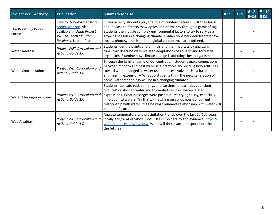| <b>Project WET Activity</b>    | <b>Publication</b>                                                                                                                         | <b>Summary for Use</b>                                                                                                                                                                                                                                                                                                                                                                           | $K-2$ |  | $9 - 12$<br>(HS) |
|--------------------------------|--------------------------------------------------------------------------------------------------------------------------------------------|--------------------------------------------------------------------------------------------------------------------------------------------------------------------------------------------------------------------------------------------------------------------------------------------------------------------------------------------------------------------------------------------------|-------|--|------------------|
| The Breathing Boreal<br>Forest | Free to Download at store.<br>projectwet.org. Also<br>available in Using Project<br><b>WET</b> to Teach Climate<br>Resilience Lesson Plan. | In this activity students play the role of coniferous trees. First they learn<br>about seasonal freeze/thaw cycles and dormancy through a game of tag.<br>Students then juggle complex environmental factors to try to survive a<br>growing season in a changing climate. Connections between freeze/thaw<br>cycles, photosynthesis and the global carbon cycle are explored.                    |       |  |                  |
| <b>Water Address</b>           | Project WET Curriculum and<br>Activity Guide 1.0                                                                                           | Students identify plants and animals and their habitats by analyzing<br>clues that describe water-related adaptations of aquatic and terrestrial<br>organisms. Examine how climate change is affecting these organisms.                                                                                                                                                                          |       |  |                  |
| <b>Water Concentration</b>     | Project WET Curriculum and<br>Activity Guide 1.0                                                                                           | Through the familiar game of Concentration, students make connections<br>between modern and past water use practices and discuss how attitudes<br>toward water changed as water use practices evolved. Use a basic<br>engineering extension - What do students think the next generation of<br>home water technology will be in a changing climate?                                              |       |  |                  |
| Water Messages in Stone        | Project WET Curriculum and<br>Activity Guide 1.0                                                                                           | Students replicate rock paintings and carvings to learn about ancient<br>cultures' relation to water and to create their own water-related<br>expressions. What messages were past cultures trying to say, especially<br>in relation to water? Try this with etching on sandpaper our current<br>relationship with water. Imagine what human's relationship with water will<br>be in the future. |       |  |                  |
| <b>Wet Vacation!</b>           | Project WET Curriculum and<br>Activity Guide 1.0                                                                                           | Analyze temperature and precipitation trends over the last 50-100 years<br>locally and/or at vacation spots. Use USGS data to add evidence: https://<br>waterdata.usgs.gov/nwis/sw. What will these vacation spots look like in<br>the future?                                                                                                                                                   |       |  |                  |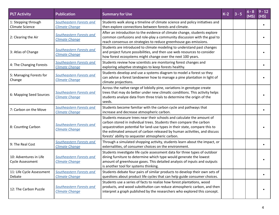| <b>PLT Activity</b>                           | <b>Publication</b>                                | <b>Summary for Use</b>                                                                                                                                                                                                                                                                                                                                      | $K-2$ | $3 - 5$ | $6 - 8$<br>(MS) | $9 - 12$<br>(HS) |
|-----------------------------------------------|---------------------------------------------------|-------------------------------------------------------------------------------------------------------------------------------------------------------------------------------------------------------------------------------------------------------------------------------------------------------------------------------------------------------------|-------|---------|-----------------|------------------|
| 1: Stepping through<br><b>Climate Science</b> | Southeastern Forests and<br><b>Climate Change</b> | Students walk along a timeline of climate science and policy initiatives and<br>then explore connections between forests and climate.                                                                                                                                                                                                                       |       |         |                 |                  |
| 2: Clearing the Air                           | Southeastern Forests and<br><b>Climate Change</b> | After an introduction to the evidence of climate change, students explore<br>common confusions and role-play a community discussion with the goal to<br>reach consensus on strategies to reduce greenhouse gas emissions.                                                                                                                                   |       |         |                 |                  |
| 3: Atlas of Change                            | Southeastern Forests and<br><b>Climate Change</b> | Students are introduced to climate modeling to understand past changes<br>and project future possibilities, and then use web resources to consider<br>how forest ecosystems might change over the next 100 years.                                                                                                                                           |       |         |                 |                  |
| 4: The Changing Forests                       | Southeastern Forests and<br><b>Climate Change</b> | Students review how scientists are monitoring forest changes and<br>exploring adaptive strategies to keep forests healthy.                                                                                                                                                                                                                                  |       |         |                 |                  |
| 5: Managing Forests for<br>Change             | Southeastern Forests and<br><b>Climate Change</b> | Students develop and use a systems diagram to model a forest so they<br>can advise a forest landowner how to manage a pine plantation in light of<br>climate projections.                                                                                                                                                                                   |       |         |                 |                  |
| 6: Mapping Seed Sources                       | Southeastern Forests and<br><b>Climate Change</b> | Across the native range of loblolly pine, variations in genotype create<br>trees that may do better under new climatic conditions. This activity helps<br>students analyze data from three trials to determine the origin of the<br>seeds.                                                                                                                  |       |         |                 |                  |
| 7: Carbon on the Move                         | Southeastern Forests and<br><b>Climate Change</b> | Students become familiar with the carbon cycle and pathways that<br>increase and decrease atmospheric carbon.                                                                                                                                                                                                                                               |       |         |                 |                  |
| 8: Counting Carbon                            | Southeastern Forests and<br><b>Climate Change</b> | Students measure trees near their schools and calculate the amount of<br>carbon stored in individual trees. Students then compare the carbon<br>sequestration potential for land-use types in their state, compare this to<br>the estimated amount of carbon released by human activities, and discuss<br>forests' ability to sequester atmospheric carbon. |       |         |                 |                  |
| 9: The Real Cost                              | Southeastern Forests and<br><b>Climate Change</b> | Through a simulated shopping activity, students learn about the impact, or<br>externalities, of consumer choices on the environment.                                                                                                                                                                                                                        |       |         |                 |                  |
| 10: Adventures in Life<br>Cycle Assessment    | Southeastern Forests and<br><b>Climate Change</b> | Students investigate life cycle assessment data for three types of outdoor<br>dining furniture to determine which type would generate the lowest<br>amount of greenhouse gases. This detailed analysis of inputs and outputs<br>is another tool for systems thinking.                                                                                       |       |         |                 |                  |
| 11: Life Cycle Assessment<br>Debate           | Southeastern Forests and<br><b>Climate Change</b> | Students debate four pairs of similar products to develop their own sets of<br>questions about product life cycles that can help guide consumer choices.                                                                                                                                                                                                    |       |         |                 |                  |
| 12: The Carbon Puzzle                         | Southeastern Forests and<br><b>Climate Change</b> | Students use a series of facts to realize how forest plantations, wood<br>products, and wood substitution can reduce atmospheric carbon, and then<br>interpret a graph published by the researchers who explored this concept.                                                                                                                              |       |         |                 |                  |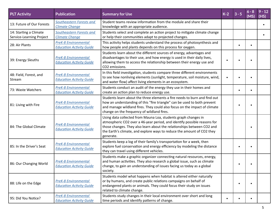| <b>PLT Activity</b>                                | <b>Publication</b>                                             | <b>Summary for Use</b>                                                                                                                                                                                                                                                                                      | $K-2$ | $3 - 5$ | $6 - 8$<br>(MS) | $9 - 12$<br>(HS) |
|----------------------------------------------------|----------------------------------------------------------------|-------------------------------------------------------------------------------------------------------------------------------------------------------------------------------------------------------------------------------------------------------------------------------------------------------------|-------|---------|-----------------|------------------|
| 13: Future of Our Forests                          | Southeastern Forests and<br><b>Climate Change</b>              | Student teams review information from the module and share their<br>knowledge with an appropriate audience.                                                                                                                                                                                                 |       |         |                 |                  |
| 14: Starting a Climate<br>Service-Learning Project | Southeastern Forests and<br><b>Climate Change</b>              | Students select and complete an action project to mitigate climate change<br>or help their communities adapt to projected changes.                                                                                                                                                                          |       |         |                 |                  |
| 28: Air Plants                                     | <b>PreK-8 Environmental</b><br><b>Education Activity Guide</b> | This activity helps students understand the process of photosynthesis and<br>how people and plants depends on this process for oxygen.                                                                                                                                                                      |       |         |                 |                  |
| 39: Energy Sleuths                                 | <b>PreK-8 Environmental</b><br><b>Education Activity Guide</b> | Students learn about the different sources of energy, advantages and<br>disadvantages to their use, and how energy is used in their daily lives,<br>allowing them to access the relationship between their energy use and<br>CO2 emissions.                                                                 |       |         |                 |                  |
| 48: Field, Forest, and<br>Stream                   | <b>PreK-8 Environmental</b><br><b>Education Activity Guide</b> | In this field investigation, students compare three different environments<br>to see how nonliving elements (sunlight, temperature, soil moisture, wind,<br>and water flow) affect living elements in an ecosystem.                                                                                         |       |         |                 |                  |
| 73: Waste Watchers                                 | <b>PreK-8 Environmental</b><br><b>Education Activity Guide</b> | Students conduct an audit of the energy they use in their homes and<br>create an action plan to reduce energy use.                                                                                                                                                                                          |       |         |                 |                  |
| 81: Living with Fire                               | <b>PreK-8 Environmental</b><br><b>Education Activity Guide</b> | Students learn about the three elements a fire needs to burn and find out<br>how an understanding of this "fire triangle" can be used to both prevent<br>and manage wildland fires. They could also focus on the impact of climate<br>change on the frequency of wildland fires.                            |       |         |                 |                  |
| 84: The Global Climate                             | <b>PreK-8 Environmental</b><br><b>Education Activity Guide</b> | Using data collected from Mauna Loa, students graph changes in<br>atmospheric CO2 over a 46-year period, and identify possible reasons for<br>those changes. They also learn about the relationships between CO2 and<br>the Earth's climate, and explore ways to reduce the amount of CO2 they<br>generate. |       |         |                 |                  |
| 85: In the Driver's Seat                           | <b>PreK-8 Environmental</b><br><b>Education Activity Guide</b> | Students keep a log of their family's transportation for a week, then<br>explore fuel conservation and energy efficiency by modeling the distance<br>they can travel using different vehicles.                                                                                                              |       |         |                 |                  |
| 86: Our Changing World                             | <b>PreK-8 Environmental</b><br><b>Education Activity Guide</b> | Students make a graphic organizer connecting natural resources, energy,<br>and human activities. They also research a global issue, such as climate<br>change, to gain an understanding of issues facing us today as a global<br>society.                                                                   |       |         |                 |                  |
| 88: Life on the Edge                               | <b>PreK-8 Environmental</b><br><b>Education Activity Guide</b> | Students model what happens when habitat is altered either naturally<br>or by humans, and create public relations campaigns on behalf of<br>endangered plants or animals. They could focus their study on issues<br>related to climate change.                                                              |       |         |                 |                  |
| 95: Did You Notice?                                | <b>PreK-8 Environmental</b><br><b>Education Activity Guide</b> | Students study changes in their local environment over short and long<br>time periods and identify patterns of change.                                                                                                                                                                                      |       |         |                 |                  |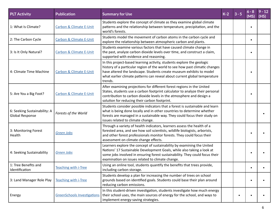| <b>PLT Activity</b>                             | <b>Publication</b>                 | <b>Summary for Use</b>                                                                                                                                                                                                                                                                                                 | $K-2$ | $3 - 5$ | $6 - 8$<br>(MS) | $9 - 12$<br>(HS) |
|-------------------------------------------------|------------------------------------|------------------------------------------------------------------------------------------------------------------------------------------------------------------------------------------------------------------------------------------------------------------------------------------------------------------------|-------|---------|-----------------|------------------|
| 1: What Is Climate?                             | <b>Carbon &amp; Climate E-Unit</b> | Students explore the concept of climate as they examine global climate<br>patterns and the relationship between temperature, precipitation, and the<br>world's forests.                                                                                                                                                |       |         |                 |                  |
| 2: The Carbon Cycle                             | <b>Carbon &amp; Climate E-Unit</b> | Students model the movement of carbon atoms in the carbon cycle and<br>explore the relationship between atmospheric carbon and plants.                                                                                                                                                                                 |       |         | $\bullet$       |                  |
| 3: Is It Only Natural?                          | <b>Carbon &amp; Climate E-Unit</b> | Students examine various factors that have caused climate change in<br>the past, analyze carbon dioxide levels over time, and construct a claim,<br>supported with evidence and reasoning.                                                                                                                             |       |         |                 |                  |
| 4: Climate Time Machine                         | Carbon & Climate E-Unit            | In this project-based learning activity, students explore the geologic<br>history of a particular region of the world to see how past climatic changes<br>have altered the landscape. Students create museum exhibits to model<br>what earlier climate patterns can reveal about current global temperature<br>trends. |       |         |                 |                  |
| 5: Are You a Big Foot?                          | <b>Carbon &amp; Climate E-Unit</b> | After examining projections for different forest regions in the United<br>States, students use a carbon footprint calculator to analyze their personal<br>contribution to carbon dioxide levels in the atmosphere and design a<br>solution for reducing their carbon footprint.                                        |       |         |                 |                  |
| 6: Seeking Sustainability: A<br>Global Response | Forests of the World               | Students consider possible indicators that a forest is sustainable and learn<br>what is being done locally and in other countries to determine whether<br>forests are managed in a sustainable way. They could focus their study on<br>issues related to climate change.                                               |       |         |                 |                  |
| 3: Monitoring Forest<br>Health                  | Green Jobs                         | Through a variety of health indicators, learners assess the health of a<br>forested area, and see how soil scientists, wildlife biologists, arborists,<br>and other forest professionals monitor forests. They could focus their<br>assessment on climate change effects.                                              |       |         |                 |                  |
| 4: Seeking Sustainability                       | <b>Green Jobs</b>                  | Learners explore the concept of sustainability by examining the United<br>Nations' 17 Sustainable Development Goals, while also taking a look at<br>some jobs involved in ensuring forest sustainability. They could focus their<br>examination on issues related to climate change.                                   |       |         |                 |                  |
| 1: Tree Benefits and<br>Identification          | <b>Teaching with i-Tree</b>        | Using an online tool, students quantify the benefits that trees provide,<br>including carbon storage.                                                                                                                                                                                                                  |       |         | $\bullet$       |                  |
| 3: Land Manager Role Play                       | <b>Teaching with i-Tree</b>        | Students develop a plan for increasing the number of trees on school<br>grounds based on identified goals. Students could base their plan around<br>reducing carbon emissions.                                                                                                                                         |       |         |                 |                  |
| Energy                                          | <b>GreenSchools Investigations</b> | In this student-driven investigation, students investigate how much energy<br>their school uses, the main sources of energy for the school, and ways to<br>implement energy-saving strategies.                                                                                                                         |       |         |                 |                  |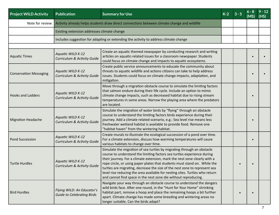| <b>Project WILD Activity</b>  | <b>Publication</b>                                                 | <b>Summary for Use</b>                                                                                                                                                                                                                                                                                                                                                                                                                                                                                                                       | $K-2$ | $3 - 5$ | (MS) | $9 - 12$<br>(HS) |
|-------------------------------|--------------------------------------------------------------------|----------------------------------------------------------------------------------------------------------------------------------------------------------------------------------------------------------------------------------------------------------------------------------------------------------------------------------------------------------------------------------------------------------------------------------------------------------------------------------------------------------------------------------------------|-------|---------|------|------------------|
|                               |                                                                    | Note for review: Activity already helps students draw direct connections between climate change and wildlife                                                                                                                                                                                                                                                                                                                                                                                                                                 |       |         |      |                  |
|                               | Existing extension addresses climate change                        |                                                                                                                                                                                                                                                                                                                                                                                                                                                                                                                                              |       |         |      |                  |
|                               |                                                                    | Includes suggestion for adapting or extending the activity to address climate change                                                                                                                                                                                                                                                                                                                                                                                                                                                         |       |         |      |                  |
|                               |                                                                    |                                                                                                                                                                                                                                                                                                                                                                                                                                                                                                                                              |       |         |      |                  |
| Aquatic Times                 | Aquatic WILD K-12<br><b>Curriculum &amp; Activity Guide</b>        | Create an aquatic themed newspaper by conducting research and writing<br>articles on aquatic-related issues for a classroom newspaper. Students<br>could focus on climate change and impacts to aquatic ecosystems.                                                                                                                                                                                                                                                                                                                          |       |         |      |                  |
| <b>Conservation Messaging</b> | Aquatic WILD K-12<br><b>Curriculum &amp; Activity Guide</b>        | Create public service announcements to educate the community about<br>threats to aquatic wildlife and actions citizens can take to help address<br>issues. Students could focus on climate change impacts, adaptation, and<br>mitigation.                                                                                                                                                                                                                                                                                                    |       |         |      |                  |
| Hooks and Ladders             | Aquatic WILD K-12<br><b>Curriculum &amp; Activity Guide</b>        | Move through a migration obstacle course to simulate the limiting factors<br>that salmon endure during their life cycle. Include an option to mimic<br>climate change impacts, such as decreased habitat due to rising stream<br>temperatures in some areas. Narrow the playing area where the predators<br>are located.                                                                                                                                                                                                                     |       |         |      |                  |
| <b>Migration Headache</b>     | Aquatic WILD K-12<br><b>Curriculum &amp; Activity Guide</b>        | Simulate the migration of water birds by "flying" through an obstacle<br>course to understand the limiting factors birds experience during their<br>journey. Add a climate related-scenario, e.g.: Sea level rise means less<br>freshwater wetland habitat is available to provide food. Remove one<br>"habitat haven" from the wintering habitat.                                                                                                                                                                                           |       |         |      |                  |
| <b>Pond Succession</b>        | Aquatic WILD K-12<br>Curriculum & Activity Guide                   | Create murals to illustrate the ecological succession of a pond over time.<br>For a climate extension, discuss how warming temperatures will cause<br>various habitats to change over time.                                                                                                                                                                                                                                                                                                                                                  |       |         |      |                  |
| Turtle Hurdles                | <b>Aquatic WILD K-12</b><br><b>Curriculum &amp; Activity Guide</b> | Simulate the migration of sea turtles by migrating through an obstacle<br>course to understand the limiting factors sea turtles experience during<br>their journey. For a climate extension, mark the nest zone clearly with a<br>rope circle, or using paper plates that students must stand on. While the<br>turtles are migrating, decrease the size of the nest zone to represent sea<br>level rise reducing the area available for nesting sites. Turtles who return<br>and cannot find space in the nest zone die without reproducing. |       |         |      |                  |
| <b>Bird Hurdles</b>           | Flying WILD: An Educator's<br><b>Guide to Celebrating Birds</b>    | Navigate your way through an obstacle course to understand the dangers<br>wild birds face. After one round, in the "Hunt for Your Home" shrinking<br>habitat part, remove a hoop and place the remaining hoops a bit further<br>apart. Climate change has made some breeding and wintering areas no<br>longer suitable. Can the birds adapt?                                                                                                                                                                                                 |       |         |      |                  |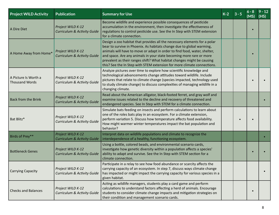| <b>Project WILD Activity</b>           | <b>Publication</b>                                          | <b>Summary for Use</b>                                                                                                                                                                                                                                                                                                                                                                                                                                      | $K-2$ | $6 - 8$<br>(MS) | $9 - 12$<br>(HS) |
|----------------------------------------|-------------------------------------------------------------|-------------------------------------------------------------------------------------------------------------------------------------------------------------------------------------------------------------------------------------------------------------------------------------------------------------------------------------------------------------------------------------------------------------------------------------------------------------|-------|-----------------|------------------|
| A Dire Diet                            | Project WILD K-12<br><b>Curriculum &amp; Activity Guide</b> | Become wildlife and experience possible consequences of pesticide<br>accumulation in the environment, then investigate the effectiveness of<br>regulations to control pesticide use. See the In Step with STEM extension<br>for a climate connection.                                                                                                                                                                                                       |       |                 |                  |
| A Home Away from Home*                 | Project WILD K-12<br><b>Curriculum &amp; Activity Guide</b> | Design a zoo habitat that provides all the necessary elements for a polar<br>bear to survive in Phoenix. As habitats change due to global warming,<br>animals will have to move or adapt in order to find food, water, shelter,<br>and space. Are any animals in your state becoming more rare or more<br>prevalent as their ranges shift? What habitat changes might be causing<br>this? See the In Step with STEM extension for more climate connections. |       |                 |                  |
| A Picture Is Worth a<br>Thousand Words | Project WILD K-12<br><b>Curriculum &amp; Activity Guide</b> | Analyze pictures over time to explore how scientific knowledge and<br>technological advancements change attitudes toward wildlife. Include<br>pictures that relate to climate change (species impacted, technology used<br>to study climate change) to discuss complexities of managing wildlife in a<br>changing climate.                                                                                                                                  |       |                 |                  |
| <b>Back from the Brink</b>             | Project WILD K-12<br><b>Curriculum &amp; Activity Guide</b> | Read about the American alligator, black-footed ferret, and gray wolf and<br>examine issues related to the decline and recovery of threatened and<br>endangered species. See In Step with STEM for a climate connection.                                                                                                                                                                                                                                    |       |                 |                  |
| Bat Blitz*                             | Project WILD K-12<br><b>Curriculum &amp; Activity Guide</b> | Simulate bats feeding on insects and perform calculations to learn about<br>one of the roles bats play in an ecosystem. For a climate extension,<br>perform variation 5. Discuss how temperature affects food availability.<br>How might warmer winter temperatures impact the bat population and<br>behavior?                                                                                                                                              |       |                 |                  |
| Birds of Prey**                        | Project WILD K-12<br><b>Curriculum &amp; Activity Guide</b> | Interpret data on wildlife populations and climate to recognize the<br>interdependence of a healthy, functioning ecosystem.                                                                                                                                                                                                                                                                                                                                 |       |                 |                  |
| <b>Bottleneck Genes</b>                | Project WILD K-12<br><b>Curriculum &amp; Activity Guide</b> | Using a bottle, colored beads, and environmental scenario cards,<br>investigate how genetic diversity within a population affects a species'<br>ability to adapt and survive. See the In Step with STEM section for a<br>climate connection.                                                                                                                                                                                                                |       |                 |                  |
| <b>Carrying Capacity</b>               | Project WILD K-12<br>Curriculum & Activity Guide            | Participate in a relay to see how food abundance or scarcity affects the<br>carrying capacity of an ecosystem. In step 7, discuss ways climate change<br>has impacted or might impact the carrying capacity for various species in a<br>given habitat.                                                                                                                                                                                                      |       |                 |                  |
| <b>Checks and Balances</b>             | Project WILD K-12<br><b>Curriculum &amp; Activity Guide</b> | Acting as wildlife managers, students play a card game and perform<br>calculations to understand factors affecting a herd of animals. Encourage<br>students to consider climate change impacts and mitigation strategies on<br>their condition and management scenario cards.                                                                                                                                                                               |       |                 |                  |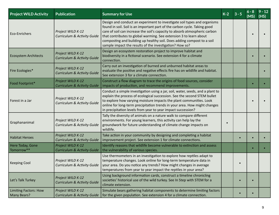| <b>Project WILD Activity</b>                       | <b>Publication</b>                                          | <b>Summary for Use</b>                                                                                                                                                                                                                                                                                                                                                                                                                         | $K-2$ | $3 - 5$ | $6 - 8$<br>(MS) | $9 - 12$<br>(HS) |
|----------------------------------------------------|-------------------------------------------------------------|------------------------------------------------------------------------------------------------------------------------------------------------------------------------------------------------------------------------------------------------------------------------------------------------------------------------------------------------------------------------------------------------------------------------------------------------|-------|---------|-----------------|------------------|
| Eco-Enrichers                                      | Project WILD K-12<br>Curriculum & Activity Guide            | Design and conduct an experiment to investigate soil types and organisms<br>found in soil. Soil is an important part of the carbon cycle. Taking good<br>care of soil can increase the soil's capacity to absorb atmospheric carbon<br>that contributes to global warming. See extension 3 to learn about<br>composting and building up healthy soil. Does adding compost to a soil<br>sample impact the results of the investigation? How so? |       |         |                 |                  |
| <b>Ecosystem Architects</b>                        | Project WILD K-12<br><b>Curriculum &amp; Activity Guide</b> | Design an ecosystem restoration project to improve habitat and<br>biodiversity in a fictional scenario. See extension 4 for a climate<br>connection.                                                                                                                                                                                                                                                                                           |       |         |                 |                  |
| Fire Ecologies*                                    | Project WILD K-12<br><b>Curriculum &amp; Activity Guide</b> | Carry out an investigation of burned and unburned habitat areas to<br>evaluate the positive and negative effects fire has on wildlife and habitat.<br>See extension 3 for a climate connection.                                                                                                                                                                                                                                                |       |         |                 |                  |
| Food Footprint*                                    | Project WILD K-12<br><b>Curriculum &amp; Activity Guide</b> | Construct a flow diagram to trace the origins of food sources, consider<br>impacts of production, and recommend improvements.                                                                                                                                                                                                                                                                                                                  |       |         |                 |                  |
| Forest in a Jar                                    | Project WILD K-12<br><b>Curriculum &amp; Activity Guide</b> | Conduct a simple investigation using a jar, soil, water, seeds, and a plant to<br>explain the process of ecological succession. See the second STEM bullet<br>to explore how varying moisture impacts the plant communities. Look<br>online for long-term precipitation trends in your area. How might changes<br>in precipitation levels from year to year impact succession?                                                                 |       |         |                 |                  |
| Graphananimal                                      | Project WILD K-12<br>Curriculum & Activity Guide            | Tally the diversity of animals on a nature walk to compare different<br>environments. For young learners, this activity can help lay the<br>groundwork for future understanding of climate change impacts on<br>wildlife.                                                                                                                                                                                                                      |       |         |                 |                  |
| <b>Habitat Heroes</b>                              | Project WILD K-12<br><b>Curriculum &amp; Activity Guide</b> | Take action in your community by designing and completing a habitat<br>improvement project. See extension 1 for climate connections.                                                                                                                                                                                                                                                                                                           |       |         |                 |                  |
| Here Today, Gone<br>Tomorrow**                     | Project WILD K-12<br><b>Curriculum &amp; Activity Guide</b> | Identify reasons that wildlife become vulnerable to extinction and assess<br>the vulnerability of various species.                                                                                                                                                                                                                                                                                                                             |       |         |                 |                  |
| <b>Keeping Cool</b>                                | Project WILD K-12<br><b>Curriculum &amp; Activity Guide</b> | Use thermometers in an investigation to explore how reptiles adapt to<br>temperature changes. Look online for long-term temperature data in<br>your area. Do you notice any trends? How might changes in average<br>temperatures from year to year impact the reptiles in your area?                                                                                                                                                           |       |         |                 |                  |
| Let's Talk Turkey                                  | Project WILD K-12<br><b>Curriculum &amp; Activity Guide</b> | Using background information cards, construct a timeline chronicling<br>societies' historical use of the wild turkey. See In Step with STEM for a<br>climate extension.                                                                                                                                                                                                                                                                        |       |         |                 |                  |
| <b>Limiting Factors: How</b><br><b>Many Bears?</b> | Project WILD K-12<br><b>Curriculum &amp; Activity Guide</b> | Simulate bears gathering habitat components to determine limiting factors<br>for the given population. See extension 4 for a climate connection.                                                                                                                                                                                                                                                                                               |       |         |                 |                  |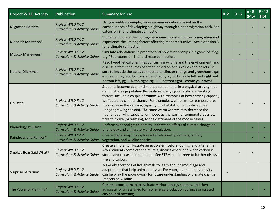| <b>Project WILD Activity</b> | <b>Publication</b>                                          | <b>Summary for Use</b>                                                                                                                                                                                                                                                                                                                                                                                                                                                                                                                                                                                | $K-2$     | $3 - 5$ | $6 - 8$<br>(MS) | $9 - 12$<br>(HS) |
|------------------------------|-------------------------------------------------------------|-------------------------------------------------------------------------------------------------------------------------------------------------------------------------------------------------------------------------------------------------------------------------------------------------------------------------------------------------------------------------------------------------------------------------------------------------------------------------------------------------------------------------------------------------------------------------------------------------------|-----------|---------|-----------------|------------------|
| <b>Migration Barriers</b>    | Project WILD K-12<br><b>Curriculum &amp; Activity Guide</b> | Using a real-life example, make recommendations based on the<br>consequences of developing a highway through a deer migration path. See<br>extension 3 for a climate connection.                                                                                                                                                                                                                                                                                                                                                                                                                      |           |         |                 |                  |
| Monarch Marathon*            | Project WILD K-12<br><b>Curriculum &amp; Activity Guide</b> | Students simulate the multi-generational monarch butterfly migration and<br>experience the limiting factors affecting monarch survival. See extension 3<br>for a climate connection.                                                                                                                                                                                                                                                                                                                                                                                                                  |           |         |                 |                  |
| <b>Muskox Maneuvers</b>      | Project WILD K-12<br><b>Curriculum &amp; Activity Guide</b> | Simulate adaptations in predator and prey relationships in a game of "flag<br>tag." See extension 1 for a climate connection.                                                                                                                                                                                                                                                                                                                                                                                                                                                                         |           |         |                 |                  |
| Natural Dilemmas             | Project WILD K-12<br><b>Curriculum &amp; Activity Guide</b> | Read hypothetical dilemmas concerning wildlife and the environment, and<br>discuss different courses of action based on one's values and beliefs. Be<br>sure to include the cards connected to climate change and greenhouse gas<br>emissions: pg. 300 bottom left and right, pg. 301 middle left and right and<br>bottom left, pg. 302 top right, pg. 303 bottom right - create your own!                                                                                                                                                                                                            |           |         |                 |                  |
| Oh Deer!                     | Project WILD K-12<br>Curriculum & Activity Guide            | Students become deer and habitat components in a physical activity that<br>demonstrates population fluctuations, carrying capacity, and limiting<br>factors. Include a couple of rounds with examples of how carrying capacity<br>is affected by climate change. For example, warmer winter temperatures<br>may increase the carrying capacity of a habitat for white-tailed deer<br>(longer growing season). The same warm winters may decrease the<br>habitat's carrying capacity for moose as the warmer temperatures allow<br>ticks to thrive (parasitism), to the detriment of the moose calves. |           |         |                 |                  |
| Phenology at Play**          | Project WILD K-12<br><b>Curriculum &amp; Activity Guide</b> | Perform skits and graph data to understand effects of climate change on<br>phenology and a migratory bird population.                                                                                                                                                                                                                                                                                                                                                                                                                                                                                 |           |         |                 |                  |
| Raindrops and Ranges*        | Project WILD K-12<br><b>Curriculum &amp; Activity Guide</b> | Create digital maps to explore interrelationships among rainfall,<br>vegetation, and wildlife species.                                                                                                                                                                                                                                                                                                                                                                                                                                                                                                |           |         |                 |                  |
| Smokey Bear Said What?       | Project WILD K-12<br>Curriculum & Activity Guide            | Create a mural to illustrate an ecosystem before, during, and after a fire.<br>After students complete the murals, discuss where and when carbon is<br>stored and released in the mural. See STEM bullet three to further discuss<br>fire and carbon.                                                                                                                                                                                                                                                                                                                                                 |           |         |                 |                  |
| Surprise Terrarium           | Project WILD K-12<br><b>Curriculum &amp; Activity Guide</b> | Make observations of live animals to learn about camouflage and<br>adaptations that help animals survive. For young learners, this activity<br>can help lay the groundwork for future understanding of climate change<br>impacts on wildlife.                                                                                                                                                                                                                                                                                                                                                         | $\bullet$ |         |                 |                  |
| The Power of Planning*       | Project WILD K-12<br><b>Curriculum &amp; Activity Guide</b> | Create a concept map to evaluate various energy sources, and then<br>advocate for an assigned form of energy production during a simulated<br>city council meeting.                                                                                                                                                                                                                                                                                                                                                                                                                                   |           |         |                 |                  |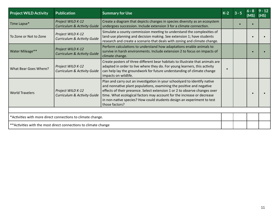| <b>Project WILD Activity</b> | <b>Publication</b>                                               | <b>Summary for Use</b>                                                                                                                                                                                                                                                                                                                                                                                | $K-2$ | $6 - 8$<br>(MS | $9 - 12$<br>(HS) |
|------------------------------|------------------------------------------------------------------|-------------------------------------------------------------------------------------------------------------------------------------------------------------------------------------------------------------------------------------------------------------------------------------------------------------------------------------------------------------------------------------------------------|-------|----------------|------------------|
| Time Lapse*                  | Project WILD K-12<br><b>Curriculum &amp; Activity Guide</b>      | Create a diagram that depicts changes in species diversity as an ecosystem<br>undergoes succession. Include extension 3 for a climate connection.                                                                                                                                                                                                                                                     |       |                |                  |
| To Zone or Not to Zone       | Project WILD K-12<br>Curriculum & Activity Guide                 | Simulate a county commission meeting to understand the complexities of<br>land-use planning and decision making. See extension 1; have students<br>research and create a scenario that deals with zoning and climate change.                                                                                                                                                                          |       |                |                  |
| <b>Water Mileage**</b>       | Project WILD K-12<br><b>Curriculum &amp; Activity Guide</b>      | Perform calculations to understand how adaptations enable animals to<br>survive in harsh environments. Include extension 2 to focus on impacts of<br>climate change.                                                                                                                                                                                                                                  |       |                |                  |
| What Bear Goes Where?        | Project WILD K-12<br><b>Curriculum &amp; Activity Guide</b>      | Create posters of three different bear habitats to illustrate that animals are<br>adapted in order to live where they do. For young learners, this activity<br>can help lay the groundwork for future understanding of climate change<br>impacts on wildlife.                                                                                                                                         |       |                |                  |
| <b>World Travelers</b>       | Project WILD K-12<br><b>Curriculum &amp; Activity Guide</b>      | Plan and carry out an investigation in your schoolyard to identify native<br>and nonnative plant populations, examining the positive and negative<br>effects of their presence. Select extension 1 or 2 to observe changes over<br>time. What ecological factors may account for the increase or decrease<br>in non-native species? How could students design an experiment to test<br>those factors? |       |                |                  |
|                              |                                                                  |                                                                                                                                                                                                                                                                                                                                                                                                       |       |                |                  |
|                              | *Activities with more direct connections to climate change.      |                                                                                                                                                                                                                                                                                                                                                                                                       |       |                |                  |
|                              | ** Activities with the most direct connections to climate change |                                                                                                                                                                                                                                                                                                                                                                                                       |       |                |                  |